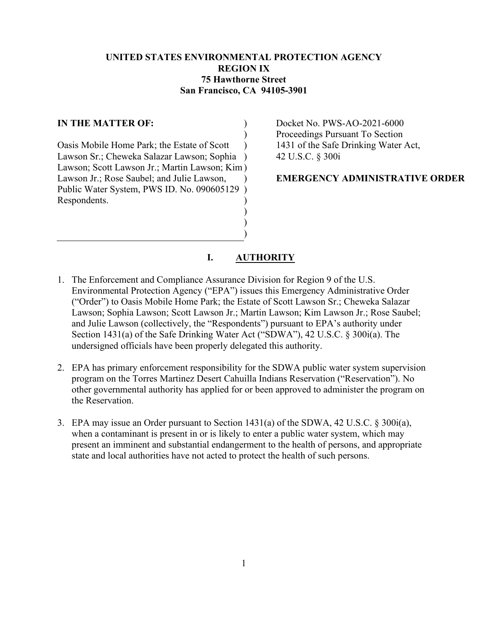## **UNITED STATES ENVIRONMENTAL PROTECTION AGENCY REGION IX 75 Hawthorne Street San Francisco, CA 94105-3901**

)  $\lambda$ 

## **IN THE MATTER OF:**

Oasis Mobile Home Park; the Estate of Scott Lawson Sr.; Cheweka Salazar Lawson; Sophia ) Lawson; Scott Lawson Jr.; Martin Lawson; Kim ) Lawson Jr.; Rose Saubel; and Julie Lawson, Public Water System, PWS ID. No. 090605129 ) Respondents.  $\lambda$ ) )

Docket No. PWS-AO-2021-6000 Proceedings Pursuant To Section 1431 of the Safe Drinking Water Act, 42 U.S.C. § 300i

**EMERGENCY ADMINISTRATIVE ORDER**

### **I. AUTHORITY**

) ) )

- 1. The Enforcement and Compliance Assurance Division for Region 9 of the U.S. Environmental Protection Agency ("EPA") issues this Emergency Administrative Order ("Order") to Oasis Mobile Home Park; the Estate of Scott Lawson Sr.; Cheweka Salazar Lawson; Sophia Lawson; Scott Lawson Jr.; Martin Lawson; Kim Lawson Jr.; Rose Saubel; and Julie Lawson (collectively, the "Respondents") pursuant to EPA's authority under Section 1431(a) of the Safe Drinking Water Act ("SDWA"), 42 U.S.C. § 300i(a). The undersigned officials have been properly delegated this authority.
- 2. EPA has primary enforcement responsibility for the SDWA public water system supervision program on the Torres Martinez Desert Cahuilla Indians Reservation ("Reservation"). No other governmental authority has applied for or been approved to administer the program on the Reservation.
- 3. EPA may issue an Order pursuant to Section 1431(a) of the SDWA, 42 U.S.C. § 300i(a), when a contaminant is present in or is likely to enter a public water system, which may present an imminent and substantial endangerment to the health of persons, and appropriate state and local authorities have not acted to protect the health of such persons.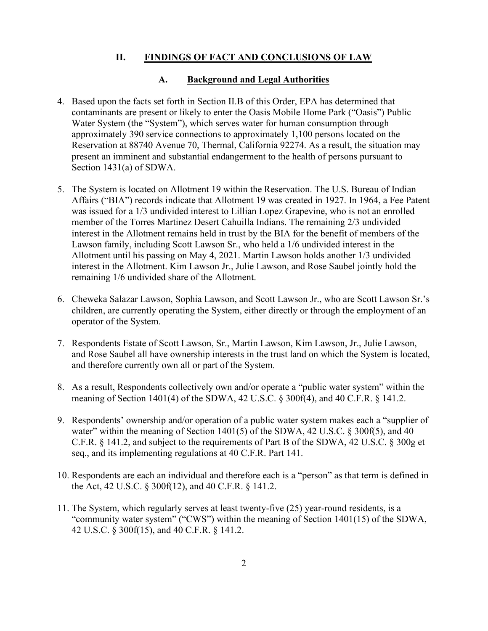### **II. FINDINGS OF FACT AND CONCLUSIONS OF LAW**

#### **A. Background and Legal Authorities**

- 4. Based upon the facts set forth in Section II.B of this Order, EPA has determined that contaminants are present or likely to enter the Oasis Mobile Home Park ("Oasis") Public Water System (the "System"), which serves water for human consumption through approximately 390 service connections to approximately 1,100 persons located on the Reservation at 88740 Avenue 70, Thermal, California 92274. As a result, the situation may present an imminent and substantial endangerment to the health of persons pursuant to Section 1431(a) of SDWA.
- 5. The System is located on Allotment 19 within the Reservation. The U.S. Bureau of Indian Affairs ("BIA") records indicate that Allotment 19 was created in 1927. In 1964, a Fee Patent was issued for a 1/3 undivided interest to Lillian Lopez Grapevine, who is not an enrolled member of the Torres Martinez Desert Cahuilla Indians. The remaining 2/3 undivided interest in the Allotment remains held in trust by the BIA for the benefit of members of the Lawson family, including Scott Lawson Sr., who held a 1/6 undivided interest in the Allotment until his passing on May 4, 2021. Martin Lawson holds another 1/3 undivided interest in the Allotment. Kim Lawson Jr., Julie Lawson, and Rose Saubel jointly hold the remaining 1/6 undivided share of the Allotment.
- 6. Cheweka Salazar Lawson, Sophia Lawson, and Scott Lawson Jr., who are Scott Lawson Sr.'s children, are currently operating the System, either directly or through the employment of an operator of the System.
- 7. Respondents Estate of Scott Lawson, Sr., Martin Lawson, Kim Lawson, Jr., Julie Lawson, and Rose Saubel all have ownership interests in the trust land on which the System is located, and therefore currently own all or part of the System.
- 8. As a result, Respondents collectively own and/or operate a "public water system" within the meaning of Section 1401(4) of the SDWA, 42 U.S.C. § 300f(4), and 40 C.F.R. § 141.2.
- 9. Respondents' ownership and/or operation of a public water system makes each a "supplier of water" within the meaning of Section  $1401(5)$  of the SDWA, 42 U.S.C. § 300f(5), and 40 C.F.R. § 141.2, and subject to the requirements of Part B of the SDWA, 42 U.S.C. § 300g et seq., and its implementing regulations at 40 C.F.R. Part 141.
- 10. Respondents are each an individual and therefore each is a "person" as that term is defined in the Act, 42 U.S.C. § 300f(12), and 40 C.F.R. § 141.2.
- 11. The System, which regularly serves at least twenty-five (25) year-round residents, is a "community water system" ("CWS") within the meaning of Section 1401(15) of the SDWA, 42 U.S.C. § 300f(15), and 40 C.F.R. § 141.2.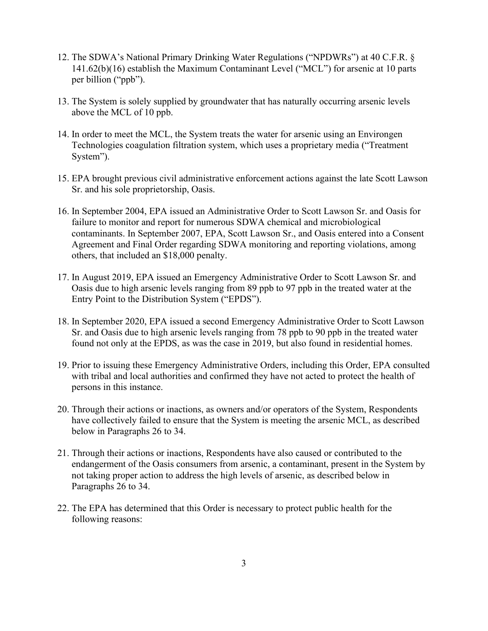- 12. The SDWA's National Primary Drinking Water Regulations ("NPDWRs") at 40 C.F.R. § 141.62(b)(16) establish the Maximum Contaminant Level ("MCL") for arsenic at 10 parts per billion ("ppb").
- 13. The System is solely supplied by groundwater that has naturally occurring arsenic levels above the MCL of 10 ppb.
- 14. In order to meet the MCL, the System treats the water for arsenic using an Environgen Technologies coagulation filtration system, which uses a proprietary media ("Treatment System").
- 15. EPA brought previous civil administrative enforcement actions against the late Scott Lawson Sr. and his sole proprietorship, Oasis.
- 16. In September 2004, EPA issued an Administrative Order to Scott Lawson Sr. and Oasis for failure to monitor and report for numerous SDWA chemical and microbiological contaminants. In September 2007, EPA, Scott Lawson Sr., and Oasis entered into a Consent Agreement and Final Order regarding SDWA monitoring and reporting violations, among others, that included an \$18,000 penalty.
- 17. In August 2019, EPA issued an Emergency Administrative Order to Scott Lawson Sr. and Oasis due to high arsenic levels ranging from 89 ppb to 97 ppb in the treated water at the Entry Point to the Distribution System ("EPDS").
- 18. In September 2020, EPA issued a second Emergency Administrative Order to Scott Lawson Sr. and Oasis due to high arsenic levels ranging from 78 ppb to 90 ppb in the treated water found not only at the EPDS, as was the case in 2019, but also found in residential homes.
- 19. Prior to issuing these Emergency Administrative Orders, including this Order, EPA consulted with tribal and local authorities and confirmed they have not acted to protect the health of persons in this instance.
- 20. Through their actions or inactions, as owners and/or operators of the System, Respondents have collectively failed to ensure that the System is meeting the arsenic MCL, as described below in Paragraphs 26 to 34.
- 21. Through their actions or inactions, Respondents have also caused or contributed to the endangerment of the Oasis consumers from arsenic, a contaminant, present in the System by not taking proper action to address the high levels of arsenic, as described below in Paragraphs 26 to 34.
- 22. The EPA has determined that this Order is necessary to protect public health for the following reasons: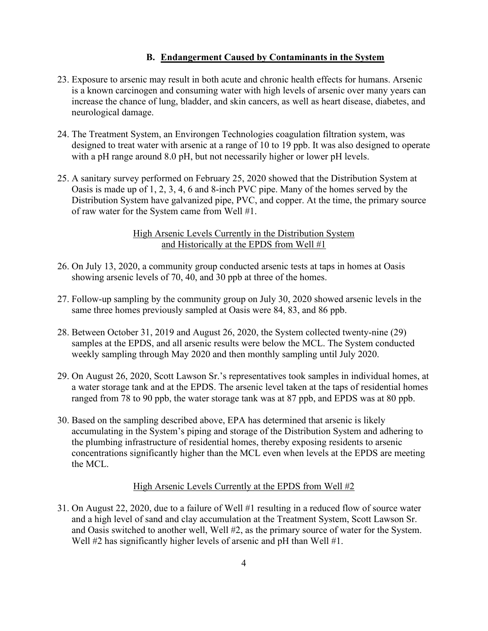### **B. Endangerment Caused by Contaminants in the System**

- 23. Exposure to arsenic may result in both acute and chronic health effects for humans. Arsenic is a known carcinogen and consuming water with high levels of arsenic over many years can increase the chance of lung, bladder, and skin cancers, as well as heart disease, diabetes, and neurological damage.
- 24. The Treatment System, an Environgen Technologies coagulation filtration system, was designed to treat water with arsenic at a range of 10 to 19 ppb. It was also designed to operate with a pH range around 8.0 pH, but not necessarily higher or lower pH levels.
- 25. A sanitary survey performed on February 25, 2020 showed that the Distribution System at Oasis is made up of 1, 2, 3, 4, 6 and 8-inch PVC pipe. Many of the homes served by the Distribution System have galvanized pipe, PVC, and copper. At the time, the primary source of raw water for the System came from Well #1.

### High Arsenic Levels Currently in the Distribution System and Historically at the EPDS from Well #1

- 26. On July 13, 2020, a community group conducted arsenic tests at taps in homes at Oasis showing arsenic levels of 70, 40, and 30 ppb at three of the homes.
- 27. Follow-up sampling by the community group on July 30, 2020 showed arsenic levels in the same three homes previously sampled at Oasis were 84, 83, and 86 ppb.
- 28. Between October 31, 2019 and August 26, 2020, the System collected twenty-nine (29) samples at the EPDS, and all arsenic results were below the MCL. The System conducted weekly sampling through May 2020 and then monthly sampling until July 2020.
- 29. On August 26, 2020, Scott Lawson Sr.'s representatives took samples in individual homes, at a water storage tank and at the EPDS. The arsenic level taken at the taps of residential homes ranged from 78 to 90 ppb, the water storage tank was at 87 ppb, and EPDS was at 80 ppb.
- 30. Based on the sampling described above, EPA has determined that arsenic is likely accumulating in the System's piping and storage of the Distribution System and adhering to the plumbing infrastructure of residential homes, thereby exposing residents to arsenic concentrations significantly higher than the MCL even when levels at the EPDS are meeting the MCL.

#### High Arsenic Levels Currently at the EPDS from Well #2

31. On August 22, 2020, due to a failure of Well #1 resulting in a reduced flow of source water and a high level of sand and clay accumulation at the Treatment System, Scott Lawson Sr. and Oasis switched to another well, Well #2, as the primary source of water for the System. Well #2 has significantly higher levels of arsenic and pH than Well #1.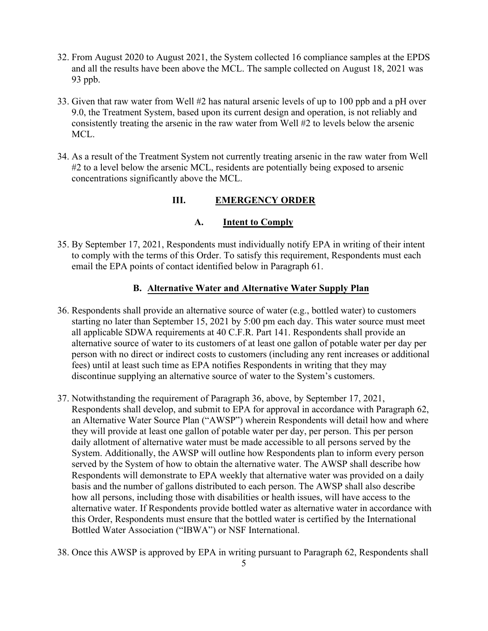- 32. From August 2020 to August 2021, the System collected 16 compliance samples at the EPDS and all the results have been above the MCL. The sample collected on August 18, 2021 was 93 ppb.
- 33. Given that raw water from Well #2 has natural arsenic levels of up to 100 ppb and a pH over 9.0, the Treatment System, based upon its current design and operation, is not reliably and consistently treating the arsenic in the raw water from Well #2 to levels below the arsenic MCL.
- 34. As a result of the Treatment System not currently treating arsenic in the raw water from Well #2 to a level below the arsenic MCL, residents are potentially being exposed to arsenic concentrations significantly above the MCL.

# **III. EMERGENCY ORDER**

## **A. Intent to Comply**

35. By September 17, 2021, Respondents must individually notify EPA in writing of their intent to comply with the terms of this Order. To satisfy this requirement, Respondents must each email the EPA points of contact identified below in Paragraph 61.

## **B. Alternative Water and Alternative Water Supply Plan**

- 36. Respondents shall provide an alternative source of water (e.g., bottled water) to customers starting no later than September 15, 2021 by 5:00 pm each day. This water source must meet all applicable SDWA requirements at 40 C.F.R. Part 141. Respondents shall provide an alternative source of water to its customers of at least one gallon of potable water per day per person with no direct or indirect costs to customers (including any rent increases or additional fees) until at least such time as EPA notifies Respondents in writing that they may discontinue supplying an alternative source of water to the System's customers.
- 37. Notwithstanding the requirement of Paragraph 36, above, by September 17, 2021, Respondents shall develop, and submit to EPA for approval in accordance with Paragraph 62, an Alternative Water Source Plan ("AWSP") wherein Respondents will detail how and where they will provide at least one gallon of potable water per day, per person. This per person daily allotment of alternative water must be made accessible to all persons served by the System. Additionally, the AWSP will outline how Respondents plan to inform every person served by the System of how to obtain the alternative water. The AWSP shall describe how Respondents will demonstrate to EPA weekly that alternative water was provided on a daily basis and the number of gallons distributed to each person. The AWSP shall also describe how all persons, including those with disabilities or health issues, will have access to the alternative water. If Respondents provide bottled water as alternative water in accordance with this Order, Respondents must ensure that the bottled water is certified by the International Bottled Water Association ("IBWA") or NSF International.
- 38. Once this AWSP is approved by EPA in writing pursuant to Paragraph 62, Respondents shall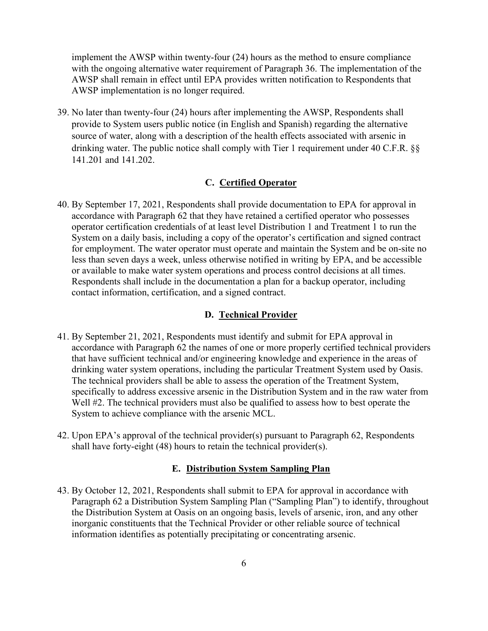implement the AWSP within twenty-four (24) hours as the method to ensure compliance with the ongoing alternative water requirement of Paragraph 36. The implementation of the AWSP shall remain in effect until EPA provides written notification to Respondents that AWSP implementation is no longer required.

39. No later than twenty-four (24) hours after implementing the AWSP, Respondents shall provide to System users public notice (in English and Spanish) regarding the alternative source of water, along with a description of the health effects associated with arsenic in drinking water. The public notice shall comply with Tier 1 requirement under 40 C.F.R. §§ 141.201 and 141.202.

### **C. Certified Operator**

40. By September 17, 2021, Respondents shall provide documentation to EPA for approval in accordance with Paragraph 62 that they have retained a certified operator who possesses operator certification credentials of at least level Distribution 1 and Treatment 1 to run the System on a daily basis, including a copy of the operator's certification and signed contract for employment. The water operator must operate and maintain the System and be on-site no less than seven days a week, unless otherwise notified in writing by EPA, and be accessible or available to make water system operations and process control decisions at all times. Respondents shall include in the documentation a plan for a backup operator, including contact information, certification, and a signed contract.

#### **D. Technical Provider**

- 41. By September 21, 2021, Respondents must identify and submit for EPA approval in accordance with Paragraph 62 the names of one or more properly certified technical providers that have sufficient technical and/or engineering knowledge and experience in the areas of drinking water system operations, including the particular Treatment System used by Oasis. The technical providers shall be able to assess the operation of the Treatment System, specifically to address excessive arsenic in the Distribution System and in the raw water from Well #2. The technical providers must also be qualified to assess how to best operate the System to achieve compliance with the arsenic MCL.
- 42. Upon EPA's approval of the technical provider(s) pursuant to Paragraph 62, Respondents shall have forty-eight (48) hours to retain the technical provider(s).

#### **E. Distribution System Sampling Plan**

43. By October 12, 2021, Respondents shall submit to EPA for approval in accordance with Paragraph 62 a Distribution System Sampling Plan ("Sampling Plan") to identify, throughout the Distribution System at Oasis on an ongoing basis, levels of arsenic, iron, and any other inorganic constituents that the Technical Provider or other reliable source of technical information identifies as potentially precipitating or concentrating arsenic.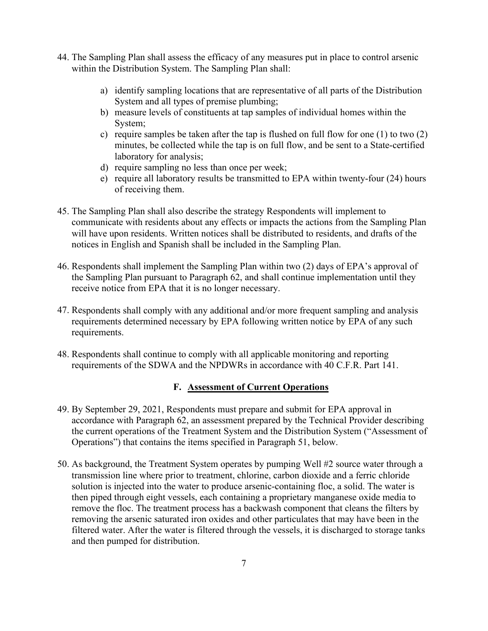- 44. The Sampling Plan shall assess the efficacy of any measures put in place to control arsenic within the Distribution System. The Sampling Plan shall:
	- a) identify sampling locations that are representative of all parts of the Distribution System and all types of premise plumbing;
	- b) measure levels of constituents at tap samples of individual homes within the System;
	- c) require samples be taken after the tap is flushed on full flow for one (1) to two (2) minutes, be collected while the tap is on full flow, and be sent to a State-certified laboratory for analysis;
	- d) require sampling no less than once per week;
	- e) require all laboratory results be transmitted to EPA within twenty-four (24) hours of receiving them.
- 45. The Sampling Plan shall also describe the strategy Respondents will implement to communicate with residents about any effects or impacts the actions from the Sampling Plan will have upon residents. Written notices shall be distributed to residents, and drafts of the notices in English and Spanish shall be included in the Sampling Plan.
- 46. Respondents shall implement the Sampling Plan within two (2) days of EPA's approval of the Sampling Plan pursuant to Paragraph 62, and shall continue implementation until they receive notice from EPA that it is no longer necessary.
- 47. Respondents shall comply with any additional and/or more frequent sampling and analysis requirements determined necessary by EPA following written notice by EPA of any such requirements.
- 48. Respondents shall continue to comply with all applicable monitoring and reporting requirements of the SDWA and the NPDWRs in accordance with 40 C.F.R. Part 141.

# **F. Assessment of Current Operations**

- 49. By September 29, 2021, Respondents must prepare and submit for EPA approval in accordance with Paragraph 62, an assessment prepared by the Technical Provider describing the current operations of the Treatment System and the Distribution System ("Assessment of Operations") that contains the items specified in Paragraph 51, below.
- 50. As background, the Treatment System operates by pumping Well #2 source water through a transmission line where prior to treatment, chlorine, carbon dioxide and a ferric chloride solution is injected into the water to produce arsenic-containing floc, a solid. The water is then piped through eight vessels, each containing a proprietary manganese oxide media to remove the floc. The treatment process has a backwash component that cleans the filters by removing the arsenic saturated iron oxides and other particulates that may have been in the filtered water. After the water is filtered through the vessels, it is discharged to storage tanks and then pumped for distribution.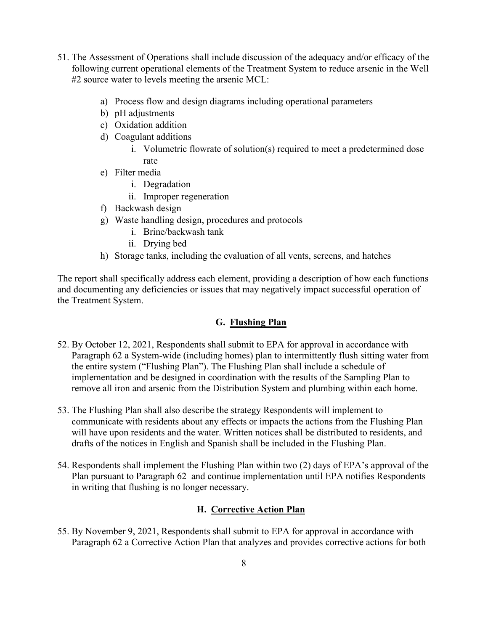- 51. The Assessment of Operations shall include discussion of the adequacy and/or efficacy of the following current operational elements of the Treatment System to reduce arsenic in the Well #2 source water to levels meeting the arsenic MCL:
	- a) Process flow and design diagrams including operational parameters
	- b) pH adjustments
	- c) Oxidation addition
	- d) Coagulant additions
		- i. Volumetric flowrate of solution(s) required to meet a predetermined dose rate
	- e) Filter media
		- i. Degradation
		- ii. Improper regeneration
	- f) Backwash design
	- g) Waste handling design, procedures and protocols
		- i. Brine/backwash tank
		- ii. Drying bed
	- h) Storage tanks, including the evaluation of all vents, screens, and hatches

The report shall specifically address each element, providing a description of how each functions and documenting any deficiencies or issues that may negatively impact successful operation of the Treatment System.

# **G. Flushing Plan**

- 52. By October 12, 2021, Respondents shall submit to EPA for approval in accordance with Paragraph 62 a System-wide (including homes) plan to intermittently flush sitting water from the entire system ("Flushing Plan"). The Flushing Plan shall include a schedule of implementation and be designed in coordination with the results of the Sampling Plan to remove all iron and arsenic from the Distribution System and plumbing within each home.
- 53. The Flushing Plan shall also describe the strategy Respondents will implement to communicate with residents about any effects or impacts the actions from the Flushing Plan will have upon residents and the water. Written notices shall be distributed to residents, and drafts of the notices in English and Spanish shall be included in the Flushing Plan.
- 54. Respondents shall implement the Flushing Plan within two (2) days of EPA's approval of the Plan pursuant to Paragraph 62 and continue implementation until EPA notifies Respondents in writing that flushing is no longer necessary.

# **H. Corrective Action Plan**

55. By November 9, 2021, Respondents shall submit to EPA for approval in accordance with Paragraph 62 a Corrective Action Plan that analyzes and provides corrective actions for both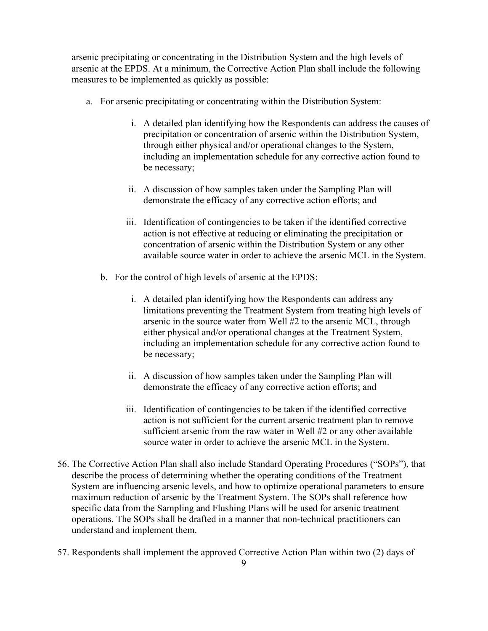arsenic precipitating or concentrating in the Distribution System and the high levels of arsenic at the EPDS. At a minimum, the Corrective Action Plan shall include the following measures to be implemented as quickly as possible:

- a. For arsenic precipitating or concentrating within the Distribution System:
	- i. A detailed plan identifying how the Respondents can address the causes of precipitation or concentration of arsenic within the Distribution System, through either physical and/or operational changes to the System, including an implementation schedule for any corrective action found to be necessary;
	- ii. A discussion of how samples taken under the Sampling Plan will demonstrate the efficacy of any corrective action efforts; and
	- iii. Identification of contingencies to be taken if the identified corrective action is not effective at reducing or eliminating the precipitation or concentration of arsenic within the Distribution System or any other available source water in order to achieve the arsenic MCL in the System.
	- b. For the control of high levels of arsenic at the EPDS:
		- i. A detailed plan identifying how the Respondents can address any limitations preventing the Treatment System from treating high levels of arsenic in the source water from Well #2 to the arsenic MCL, through either physical and/or operational changes at the Treatment System, including an implementation schedule for any corrective action found to be necessary;
		- ii. A discussion of how samples taken under the Sampling Plan will demonstrate the efficacy of any corrective action efforts; and
		- iii. Identification of contingencies to be taken if the identified corrective action is not sufficient for the current arsenic treatment plan to remove sufficient arsenic from the raw water in Well #2 or any other available source water in order to achieve the arsenic MCL in the System.
- 56. The Corrective Action Plan shall also include Standard Operating Procedures ("SOPs"), that describe the process of determining whether the operating conditions of the Treatment System are influencing arsenic levels, and how to optimize operational parameters to ensure maximum reduction of arsenic by the Treatment System. The SOPs shall reference how specific data from the Sampling and Flushing Plans will be used for arsenic treatment operations. The SOPs shall be drafted in a manner that non-technical practitioners can understand and implement them.
- 57. Respondents shall implement the approved Corrective Action Plan within two (2) days of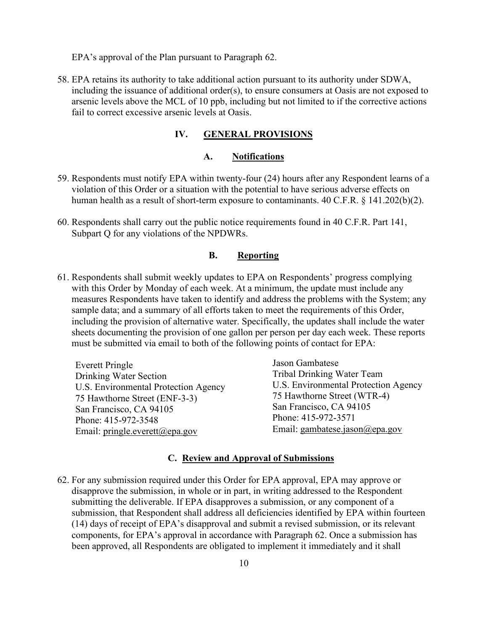EPA's approval of the Plan pursuant to Paragraph 62.

58. EPA retains its authority to take additional action pursuant to its authority under SDWA, including the issuance of additional order(s), to ensure consumers at Oasis are not exposed to arsenic levels above the MCL of 10 ppb, including but not limited to if the corrective actions fail to correct excessive arsenic levels at Oasis.

### **IV. GENERAL PROVISIONS**

#### **A. Notifications**

- 59. Respondents must notify EPA within twenty-four (24) hours after any Respondent learns of a violation of this Order or a situation with the potential to have serious adverse effects on human health as a result of short-term exposure to contaminants. 40 C.F.R. § 141.202(b)(2).
- 60. Respondents shall carry out the public notice requirements found in 40 C.F.R. Part 141, Subpart Q for any violations of the NPDWRs.

### **B. Reporting**

61. Respondents shall submit weekly updates to EPA on Respondents' progress complying with this Order by Monday of each week. At a minimum, the update must include any measures Respondents have taken to identify and address the problems with the System; any sample data; and a summary of all efforts taken to meet the requirements of this Order, including the provision of alternative water. Specifically, the updates shall include the water sheets documenting the provision of one gallon per person per day each week. These reports must be submitted via email to both of the following points of contact for EPA:

| Everett Pringle                      | Jason Gambatese                      |
|--------------------------------------|--------------------------------------|
| Drinking Water Section               | <b>Tribal Drinking Water Team</b>    |
| U.S. Environmental Protection Agency | U.S. Environmental Protection Agency |
| 75 Hawthorne Street (ENF-3-3)        | 75 Hawthorne Street (WTR-4)          |
| San Francisco, CA 94105              | San Francisco, CA 94105              |
| Phone: 415-972-3548                  | Phone: 415-972-3571                  |
| Email: pringle.everett@epa.gov       | Email: gambatese.jason@epa.gov       |

#### **C. Review and Approval of Submissions**

62. For any submission required under this Order for EPA approval, EPA may approve or disapprove the submission, in whole or in part, in writing addressed to the Respondent submitting the deliverable. If EPA disapproves a submission, or any component of a submission, that Respondent shall address all deficiencies identified by EPA within fourteen (14) days of receipt of EPA's disapproval and submit a revised submission, or its relevant components, for EPA's approval in accordance with Paragraph 62. Once a submission has been approved, all Respondents are obligated to implement it immediately and it shall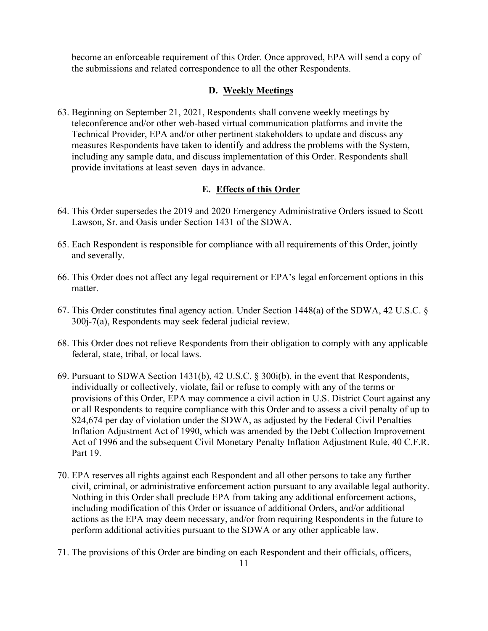become an enforceable requirement of this Order. Once approved, EPA will send a copy of the submissions and related correspondence to all the other Respondents.

## **D. Weekly Meetings**

63. Beginning on September 21, 2021, Respondents shall convene weekly meetings by teleconference and/or other web-based virtual communication platforms and invite the Technical Provider, EPA and/or other pertinent stakeholders to update and discuss any measures Respondents have taken to identify and address the problems with the System, including any sample data, and discuss implementation of this Order. Respondents shall provide invitations at least seven days in advance.

## **E. Effects of this Order**

- 64. This Order supersedes the 2019 and 2020 Emergency Administrative Orders issued to Scott Lawson, Sr. and Oasis under Section 1431 of the SDWA.
- 65. Each Respondent is responsible for compliance with all requirements of this Order, jointly and severally.
- 66. This Order does not affect any legal requirement or EPA's legal enforcement options in this matter.
- 67. This Order constitutes final agency action. Under Section 1448(a) of the SDWA, 42 U.S.C. § 300j-7(a), Respondents may seek federal judicial review.
- 68. This Order does not relieve Respondents from their obligation to comply with any applicable federal, state, tribal, or local laws.
- 69. Pursuant to SDWA Section 1431(b), 42 U.S.C. § 300i(b), in the event that Respondents, individually or collectively, violate, fail or refuse to comply with any of the terms or provisions of this Order, EPA may commence a civil action in U.S. District Court against any or all Respondents to require compliance with this Order and to assess a civil penalty of up to \$24,674 per day of violation under the SDWA, as adjusted by the Federal Civil Penalties Inflation Adjustment Act of 1990, which was amended by the Debt Collection Improvement Act of 1996 and the subsequent Civil Monetary Penalty Inflation Adjustment Rule, 40 C.F.R. Part 19.
- 70. EPA reserves all rights against each Respondent and all other persons to take any further civil, criminal, or administrative enforcement action pursuant to any available legal authority. Nothing in this Order shall preclude EPA from taking any additional enforcement actions, including modification of this Order or issuance of additional Orders, and/or additional actions as the EPA may deem necessary, and/or from requiring Respondents in the future to perform additional activities pursuant to the SDWA or any other applicable law.
- 71. The provisions of this Order are binding on each Respondent and their officials, officers,